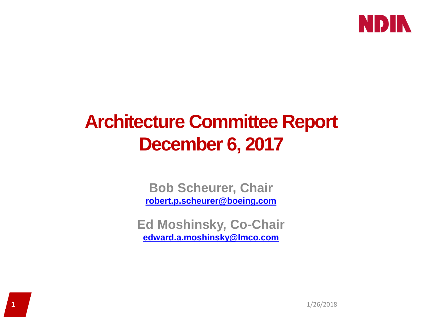

## **Architecture Committee Report December 6, 2017**

**Bob Scheurer, Chair [robert.p.scheurer@boeing.com](mailto:robert.p.scheurer@boeing.com)**

**Ed Moshinsky, Co-Chair [edward.a.moshinsky@lmco.com](mailto:edward.a.moshinsky@lmco.com)**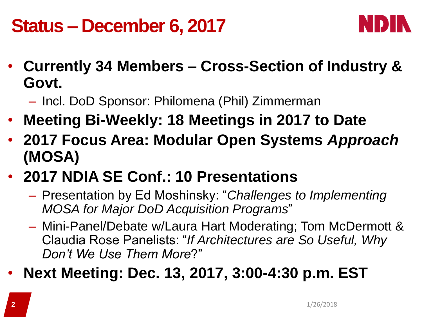## **Status – December 6, 2017**



- **Currently 34 Members – Cross-Section of Industry & Govt.**
	- Incl. DoD Sponsor: Philomena (Phil) Zimmerman
- **Meeting Bi-Weekly: 18 Meetings in 2017 to Date**
- **2017 Focus Area: Modular Open Systems** *Approach* **(MOSA)**
- **2017 NDIA SE Conf.: 10 Presentations**
	- Presentation by Ed Moshinsky: "*Challenges to Implementing MOSA for Major DoD Acquisition Programs*"
	- Mini-Panel/Debate w/Laura Hart Moderating; Tom McDermott & Claudia Rose Panelists: "*If Architectures are So Useful, Why Don't We Use Them More*?"
- **Next Meeting: Dec. 13, 2017, 3:00-4:30 p.m. EST**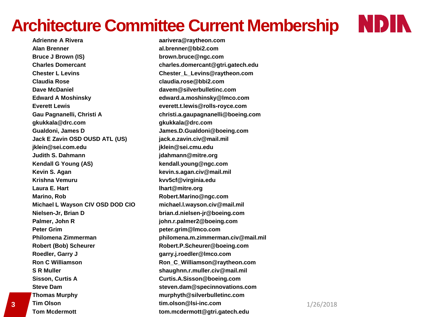### **Architecture Committee Current Membership**

**Adrienne A Rivera aarivera@raytheon.com Alan Brenner al.brenner@bbi2.com Bruce J Brown (IS) brown.bruce@ngc.com Chester L Levins Chester\_L\_Levins@raytheon.com Claudia Rose claudia.rose@bbi2.com Dave McDaniel davem@silverbulletinc.com Edward A Moshinsky edward.a.moshinsky@lmco.com Everett Lewis everett.t.lewis@rolls-royce.com gkukkala@drc.com gkukkala@drc.com Gualdoni, James D James.D.Gualdoni@boeing.com Jack E Zavin OSD OUSD ATL (US) jack.e.zavin.civ@mail.mil jklein@sei.com.edu jklein@sei.cmu.edu Judith S. Dahmann jdahmann@mitre.org Kendall G Young (AS) kendall.young@ngc.com Kevin S. Agan kevin.s.agan.civ@mail.mil Krishna Vemuru kvv5cf@virginia.edu Laura E. Hart lhart@mitre.org Marino, Robert.Marino@ngc.com Michael L Wayson CIV OSD DOD CIO michael.l.wayson.civ@mail.mil Nielsen-Jr, Brian D brian.d.nielsen-jr@boeing.com Palmer, John R john.r.palmer2@boeing.com Peter Grim peter.grim@lmco.com Robert (Bob) Scheurer Robert.P.Scheurer@boeing.com Roedler, Garry J garry.j.roedler@lmco.com Ron C Williamson Ron\_C\_Williamson@raytheon.com S R Muller shaughnn.r.muller.civ@mail.mil Sisson, Curtis A Curtis.A.Sisson@boeing.com Thomas Murphy murphyth@silverbulletinc.com Tim Olson tim.olson@lsi-inc.com 3** 1/26/2018

**Charles Domercant charles.domercant@gtri.gatech.edu Gau Pagnanelli, Christi A christi.a.gaupagnanelli@boeing.com Philomena Zimmerman philomena.m.zimmerman.civ@mail.mil Steve Dam steven.dam@specinnovations.com**

#### **Tom Mcdermott tom.mcdermott@gtri.gatech.edu**

NDIN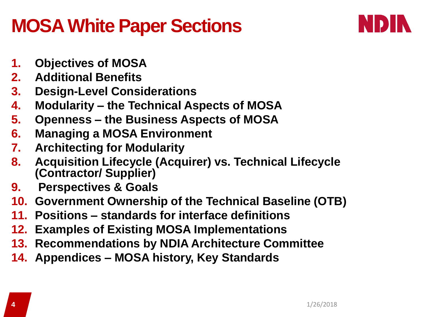### **MOSA White Paper Sections**



- **1. Objectives of MOSA**
- **2. Additional Benefits**
- **3. Design-Level Considerations**
- **4. Modularity – the Technical Aspects of MOSA**
- **5. Openness – the Business Aspects of MOSA**
- **6. Managing a MOSA Environment**
- **7. Architecting for Modularity**
- **8. Acquisition Lifecycle (Acquirer) vs. Technical Lifecycle (Contractor/ Supplier)**
- **9. Perspectives & Goals**
- **10. Government Ownership of the Technical Baseline (OTB)**
- **11. Positions – standards for interface definitions**
- **12. Examples of Existing MOSA Implementations**
- **13. Recommendations by NDIA Architecture Committee**
- **14. Appendices – MOSA history, Key Standards**